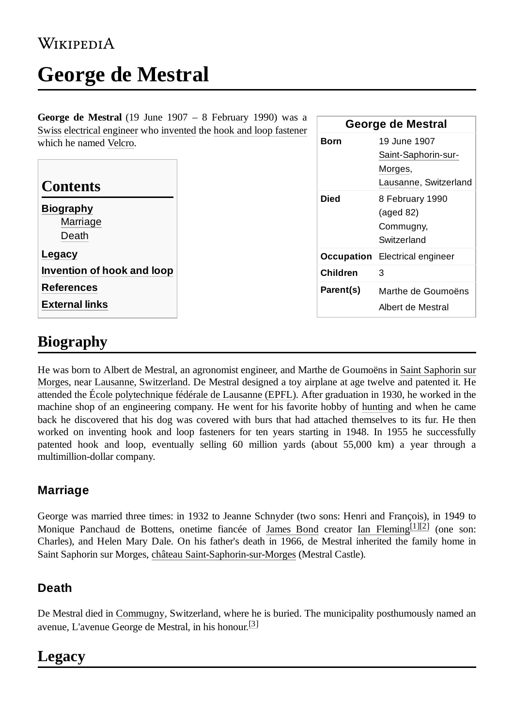### WIKIPEDIA

# **George de Mestral**

**George de Mestral** (19 June 1907 – 8 February 1990) was a [Swiss](https://en.wikipedia.org/wiki/Swiss_people) [electrical engineer](https://en.wikipedia.org/wiki/Electrical_engineer) who [invented](https://en.wikipedia.org/wiki/Invention) the [hook and loop fastener](https://en.wikipedia.org/wiki/Hook_and_loop_fastener) which he named [Velcro](https://en.wikipedia.org/wiki/Velcro).

| which he named Velcro.                                                   |          | <b>Born</b> | 19 June 1907<br>Saint-Saphorin-sur-                               |
|--------------------------------------------------------------------------|----------|-------------|-------------------------------------------------------------------|
| <b>Contents</b>                                                          |          |             | Morges,<br>Lausanne, Switzerland                                  |
| <b>Biography</b><br>Marriage<br>Death                                    |          | <b>Died</b> | 8 February 1990<br>$(\text{aged }82)$<br>Commugny,<br>Switzerland |
| Legacy                                                                   |          |             | <b>Occupation</b> Electrical engineer                             |
| Invention of hook and loop<br><b>References</b><br><b>External links</b> | Children |             | 3                                                                 |
|                                                                          |          | Parent(s)   | Marthe de Goumoëns<br>Albert de Mestral                           |

**George de Mestral**

### <span id="page-0-0"></span>**Biography**

He was born to Albert de Mestral, an agronomist engineer, and Marthe de Goumoëns in Saint Saphorin sur Morges, near [Lausanne, Switzerland. De](https://en.wikipedia.org/wiki/Saint_Saphorin_sur_Morges,_Vaud) Mestral designed a toy airplane at age twelve and patented it. He attended the [École polytechnique fédérale de Lausanne \(EPFL\).](https://en.wikipedia.org/wiki/%C3%89cole_polytechnique_f%C3%A9d%C3%A9rale_de_Lausanne) After graduation in 1930, he worked in the machine shop of an engineering company. He went for his favorite hobby of [hunting](https://en.wikipedia.org/wiki/Hunting) and when he came back he discovered that his dog was covered with burs that had attached themselves to its fur. He then worked on inventing hook and loop fasteners for ten years starting in 1948. In 1955 he successfully patented hook and loop, eventually selling 60 million yards (about 55,000 km) a year through a multimillion-dollar company.

#### <span id="page-0-1"></span>**Marriage**

George was married three times: in 1932 to Jeanne Schnyder (two sons: Henri and François), in 1949 to Monique Panchaud de Bottens, onetime fiancée of [James](https://en.wikipedia.org/wiki/James_Bond) Bond creator [Ian Fleming](https://en.wikipedia.org/wiki/Ian_Fleming) [\[1\]](#page-2-2)[\[2\]](#page-2-3) (one son: Charles), and Helen Mary Dale. On his father's death in 1966, de Mestral inherited the family home in Saint Saphorin sur Morges, [château Saint-Saphorin-sur-Morges](https://en.wikipedia.org/wiki/Mestral_Castle) (Mestral Castle).

#### <span id="page-0-2"></span>**Death**

De Mestral died in [Commugny,](https://en.wikipedia.org/wiki/Commugny) Switzerland, where he is buried. The municipality posthumously named an avenue, L'avenue George de Mestral, in his honour.<sup>[\[3\]](#page-2-4)</sup>

### <span id="page-0-3"></span>**Legacy**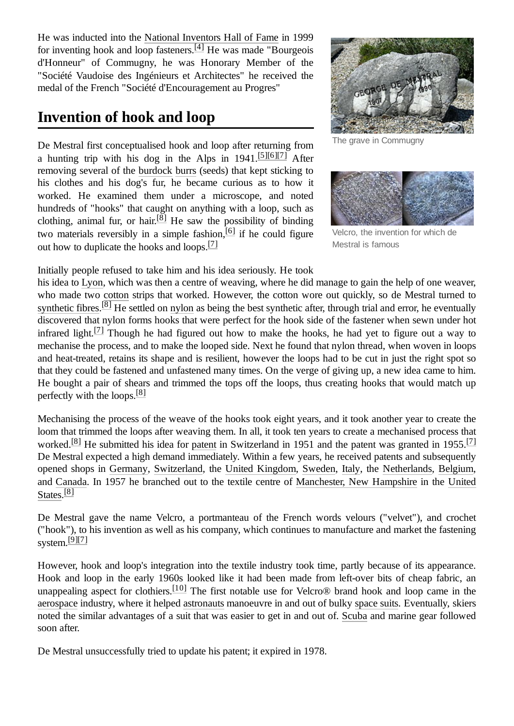He was inducted into the National [Inventors](https://en.wikipedia.org/wiki/National_Inventors_Hall_of_Fame) Hall of Fame in 1999 for inventing hook and loop fasteners.<sup>[\[4\]](#page-2-5)</sup> He was made "Bourgeois d'Honneur" of Commugny, he was Honorary Member of the "Société Vaudoise des Ingénieurs et Architectes" he received the medal of the French "Société d'Encouragement au Progres"

### <span id="page-1-0"></span>**Invention of hook and loop**

De Mestral first conceptualised hook and loop after returning from a hunting trip with his dog in the Alps in  $1941$ .<sup>[\[5\]](#page-2-6)[\[6\]](#page-2-7)[\[7\]](#page-2-8)</sup> After removing several of the [burdock](https://en.wikipedia.org/wiki/Burdock) [burrs](https://en.wikipedia.org/wiki/Burr_(fruit)) (seeds) that kept sticking to his clothes and his dog's fur, he became curious as to how it worked. He examined them under a microscope, and noted hundreds of "hooks" that caught on anything with a loop, such as clothing, animal fur, or hair.<sup>[\[8\]](#page-2-9)</sup> He saw the possibility of binding two materials reversibly in a simple fashion, <sup>[\[6\]](#page-2-7)</sup> if he could figure out how to duplicate the hooks and loops.<sup>[\[7\]](#page-2-8)</sup>



The grave in Commugny



Velcro, the invention for which de Mestral is famous

Initially people refused to take him and his idea seriously. He took

his idea to [Lyon](https://en.wikipedia.org/wiki/Lyon), which was then a centre of weaving, where he did manage to gain the help of one weaver, who made two [cotton](https://en.wikipedia.org/wiki/Cotton) strips that worked. However, the cotton wore out quickly, so de Mestral turned to [synthetic fibres.](https://en.wikipedia.org/wiki/Synthetic_fibre)<sup>[\[8\]](#page-2-9)</sup> He settled on [nylon](https://en.wikipedia.org/wiki/Nylon) as being the best synthetic after, through trial and error, he eventually discovered that nylon forms hooks that were perfect for the hook side of the fastener when sewn under hot infrared light.<sup>[\[7\]](#page-2-8)</sup> Though he had figured out how to make the hooks, he had yet to figure out a way to mechanise the process, and to make the looped side. Next he found that nylon thread, when woven in loops and heat-treated, retains its shape and is resilient, however the loops had to be cut in just the right spot so that they could be fastened and unfastened many times. On the verge of giving up, a new idea came to him. He bought a pair of shears and trimmed the tops off the loops, thus creating hooks that would match up perfectly with the loops.<sup>[\[8\]](#page-2-9)</sup>

Mechanising the process of the weave of the hooks took eight years, and it took another year to create the loom that trimmed the loops after weaving them. In all, it took ten years to create a mechanised process that worked.<sup>[\[8\]](#page-2-9)</sup> He submitted his idea for [patent](https://en.wikipedia.org/wiki/Patent) in Switzerland in 1951 and the patent was granted in 1955.<sup>[\[7\]](#page-2-8)</sup> De Mestral expected a high demand immediately. Within a few years, he received patents and subsequently opened shops in [Germany](https://en.wikipedia.org/wiki/Germany), [Switzerland,](https://en.wikipedia.org/wiki/Switzerland) the [United Kingdom,](https://en.wikipedia.org/wiki/United_Kingdom) [Sweden,](https://en.wikipedia.org/wiki/Sweden) [Italy](https://en.wikipedia.org/wiki/Italy), the [Netherlands](https://en.wikipedia.org/wiki/Netherlands), [Belgium](https://en.wikipedia.org/wiki/Belgium), [and C](https://en.wikipedia.org/wiki/United_States)[anada](https://en.wikipedia.org/wiki/Canada)[. In 1957 he](https://en.wikipedia.org/wiki/United_States) branched out to the textile centre of [Manchester, New](https://en.wikipedia.org/wiki/Manchester,_New_Hampshire) Hampshire in the United States.<sup>[\[8\]](#page-2-9)</sup>

De Mestral gave the name Velcro, a portmanteau of the French words velours ("velvet"), and crochet ("hook"), to his invention as well as his company, which continues to manufacture and market the fastening system.[\[9\]](#page-2-10)[\[7\]](#page-2-8)

However, hook and loop's integration into the textile industry took time, partly because of its appearance. Hook and loop in the early 1960s looked like it had been made from left-over bits of cheap fabric, an unappealing aspect for clothiers.<sup>[\[10\]](#page-2-11)</sup> The first notable use for Velcro® brand hook and loop came in the [aerospace](https://en.wikipedia.org/wiki/Aerospace) industry, where it helped [astronauts](https://en.wikipedia.org/wiki/Astronauts) manoeuvre in and out of bulky [space suits](https://en.wikipedia.org/wiki/Space_suit). Eventually, skiers noted the similar advantages of a suit that was easier to get in and out of. [Scuba](https://en.wikipedia.org/wiki/Scuba_diving) and marine gear followed soon after.

De Mestral unsuccessfully tried to update his patent; it expired in 1978.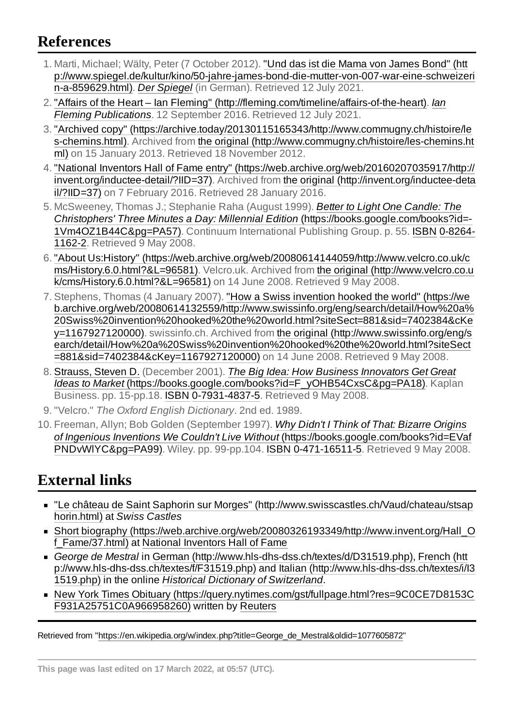## <span id="page-2-0"></span>**References**

- <span id="page-2-2"></span>1. Marti, Michael; Wälty, Peter (7 October 2012). "Und das ist die Mama von James Bond" (htt [p://www.spiegel.de/kultur/kino/50-jahre-james-bond-die-mutter-von-007-war-eine-schweizeri](http://www.spiegel.de/kultur/kino/50-jahre-james-bond-die-mutter-von-007-war-eine-schweizerin-a-859629.html) n-a-859629.html). *Der [Spiegel](https://en.wikipedia.org/wiki/Der_Spiegel_(online))* (in German). Retrieved 12 July 2021.
- <span id="page-2-3"></span>2. "Affairs of the Heart – Ian Fleming" [\(http://fleming.com/timeline/affairs-of-the-heart](http://fleming.com/timeline/affairs-of-the-heart)[\).](https://en.wikipedia.org/wiki/Ian_Fleming_Publications) *Ian Fleming Publications*. 12 September 2016. Retrieved 12 July 2021.
- <span id="page-2-4"></span>3. "Archived copy" [\(https://archive.today/20130115165343/http://www.commugny.ch/histoire/le](https://archive.today/20130115165343/http://www.commugny.ch/histoire/les-chemins.html) s-chemins.html). Archived from the original [\(http://www.commugny.ch/histoire/les-chemins.ht](http://www.commugny.ch/histoire/les-chemins.html) ml) on 15 January 2013. Retrieved 18 November 2012.
- <span id="page-2-5"></span>4. "National Inventors Hall of Fame entry" [\(https://web.archive.org/web/20160207035917/http://](https://web.archive.org/web/20160207035917/http://invent.org/inductee-detail/?IID=37) [invent.org/inductee-detail/?IID=37\).](http://invent.org/inductee-detail/?IID=37) Archived from the original (http://invent.org/inductee-deta il/?IID=37) on 7 February 2016. Retrieved 28 January 2016.
- <span id="page-2-6"></span>5. McSweeney, Thomas J.; Stephanie Raha (August 1999). *Better to Light One Candle: The Christophers' Three Minutes a Day: Millennial Edition* [\(https://books.google.com/books?id=-](https://books.google.com/books?id=-1Vm4OZ1B44C&pg=PA57) [1Vm4OZ1B44C&pg=PA57\).](https://en.wikipedia.org/wiki/Special:BookSources/0-8264-1162-2) Continuum International Publishing Group. p. 55. [ISBN](https://en.wikipedia.org/wiki/ISBN_(identifier)) 0-8264- 1162-2. Retrieved 9 May 2008.
- <span id="page-2-7"></span>6. "About Us:History" [\(https://web.archive.org/web/20080614144059/http://www.velcro.co.uk/c](https://web.archive.org/web/20080614144059/http://www.velcro.co.uk/cms/History.6.0.html?&L=96581) ms/History.6.0.html?&L=96581). Velcro.uk. Archived from the original (http://www.velcro.co.u [k/cms/History.6.0.html?&L=96581\)](http://www.velcro.co.uk/cms/History.6.0.html?&L=96581) on 14 June 2008. Retrieved 9 May 2008.
- <span id="page-2-8"></span>7. Stephens, Thomas (4 January 2007). "How a Swiss invention hooked the world" (https://we [b.archive.org/web/20080614132559/http://www.swissinfo.org/eng/search/detail/How%20a%](https://web.archive.org/web/20080614132559/http://www.swissinfo.org/eng/search/detail/How%20a%20Swiss%20invention%20hooked%20the%20world.html?siteSect=881&sid=7402384&cKey=1167927120000) 20Swiss%20invention%20hooked%20the%20world.html?siteSect=881&sid=7402384&cKe y=1167927120000). swissinfo.ch. Archived from the original (http://www.swissinfo.org/eng/s [earch/detail/How%20a%20Swiss%20invention%20hooked%20the%20world.html?siteSect](http://www.swissinfo.org/eng/search/detail/How%20a%20Swiss%20invention%20hooked%20the%20world.html?siteSect=881&sid=7402384&cKey=1167927120000) =881&sid=7402384&cKey=1167927120000) on 14 June 2008. Retrieved 9 May 2008.
- <span id="page-2-9"></span>8. [Strauss,](https://en.wikipedia.org/w/index.php?title=Steven_Strauss&action=edit&redlink=1) Steven D. (December 2001). *The Big Idea: How Business Innovators Get Great Ideas to Market* [\(https://books.google.com/books?id=F\\_yOHB54CxsC&pg=PA18\).](https://books.google.com/books?id=F_yOHB54CxsC&pg=PA18) Kaplan Business. pp. 15-pp.18. [ISBN](https://en.wikipedia.org/wiki/ISBN_(identifier)) [0-7931-4837-5.](https://en.wikipedia.org/wiki/Special:BookSources/0-7931-4837-5) Retrieved 9 May 2008.
- <span id="page-2-10"></span>9. "Velcro." *The Oxford English Dictionary*. 2nd ed. 1989.
- <span id="page-2-11"></span>10. Freeman, Allyn; Bob Golden (September 1997). *Why Didn't I Think of That: Bizarre Origins of Ingenious Inventions We Couldn't Live Without* [\(https://books.google.com/books?id=EVaf](https://books.google.com/books?id=EVafPNDvWlYC&pg=PA99) PNDvWlYC&pg=PA99). Wiley. pp. 99-pp.104. [ISBN](https://en.wikipedia.org/wiki/ISBN_(identifier)) [0-471-16511-5](https://en.wikipedia.org/wiki/Special:BookSources/0-471-16511-5). Retrieved 9 May 2008.

# <span id="page-2-1"></span>**External links**

- "Le château de Saint Saphorin sur Morges" [\(http://www.swisscastles.ch/Vaud/chateau/stsap](http://www.swisscastles.ch/Vaud/chateau/stsaphorin.html) horin.html) at *Swiss Castles*
- Short biography [\(https://web.archive.org/web/20080326193349/http://www.invent.org/Hall\\_O](https://web.archive.org/web/20080326193349/http://www.invent.org/Hall_Of_Fame/37.html) f Fame/37.html) at National [Inventors Hall](https://en.wikipedia.org/wiki/National_Inventors_Hall_of_Fame) of Fame
- *George de Mestral* in German [\(http://www.hls-dhs-dss.ch/textes/d/D31519.php\)](http://www.hls-dhs-dss.ch/textes/d/D31519.php)[,](http://www.hls-dhs-dss.ch/textes/f/F31519.php) French (htt [p://www.hls-dhs-dss.ch/textes/f/F31519.php\)](http://www.hls-dhs-dss.ch/textes/i/I31519.php) and Italian (http://www.hls-dhs-dss.ch/textes/i/I3 1519.php) in the online *Historical [Dictionary of](https://en.wikipedia.org/wiki/Historical_Dictionary_of_Switzerland) Switzerland*.
- New York Times Obituary [\(https://query.nytimes.com/gst/fullpage.html?res=9C0CE7D8153C](https://query.nytimes.com/gst/fullpage.html?res=9C0CE7D8153CF931A25751C0A966958260) F931A25751C0A966958260) written by [Reuters](https://en.wikipedia.org/wiki/Reuters)

Retrieved from "[https://en.wikipedia.org/w/index.php?title=George\\_de\\_Mestral&oldid=1077605872"](https://en.wikipedia.org/w/index.php?title=George_de_Mestral&oldid=1077605872)